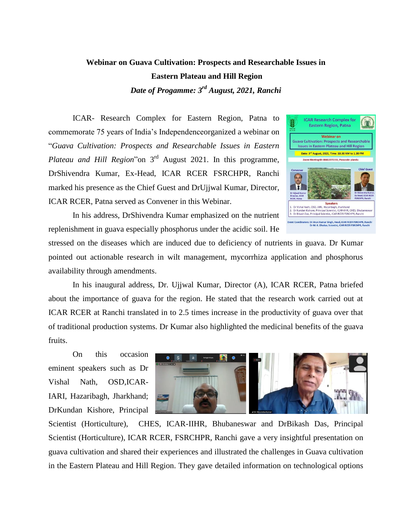## **Webinar on Guava Cultivation: Prospects and Researchable Issues in Eastern Plateau and Hill Region** *Date of Progamme: 3 rd August, 2021, Ranchi*

ICAR- Research Complex for Eastern Region, Patna to commemorate 75 years of India's Independenceorganized a webinar on "*Guava Cultivation: Prospects and Researchable Issues in Eastern Plateau and Hill Region*"on 3rd August 2021. In this programme, DrShivendra Kumar, Ex-Head, ICAR RCER FSRCHPR, Ranchi marked his presence as the Chief Guest and DrUjjwal Kumar, Director, ICAR RCER, Patna served as Convener in this Webinar.



In his address, DrShivendra Kumar emphasized on the nutrient replenishment in guava especially phosphorus under the acidic soil. He

stressed on the diseases which are induced due to deficiency of nutrients in guava. Dr Kumar pointed out actionable research in wilt management, mycorrhiza application and phosphorus availability through amendments.

In his inaugural address, Dr. Ujjwal Kumar, Director (A), ICAR RCER, Patna briefed about the importance of guava for the region. He stated that the research work carried out at ICAR RCER at Ranchi translated in to 2.5 times increase in the productivity of guava over that of traditional production systems. Dr Kumar also highlighted the medicinal benefits of the guava fruits.

On this occasion eminent speakers such as Dr Vishal Nath, OSD,ICAR-IARI, Hazaribagh, Jharkhand; DrKundan Kishore, Principal



Scientist (Horticulture), CHES, ICAR-IIHR, Bhubaneswar and DrBikash Das, Principal Scientist (Horticulture), ICAR RCER, FSRCHPR, Ranchi gave a very insightful presentation on guava cultivation and shared their experiences and illustrated the challenges in Guava cultivation in the Eastern Plateau and Hill Region. They gave detailed information on technological options